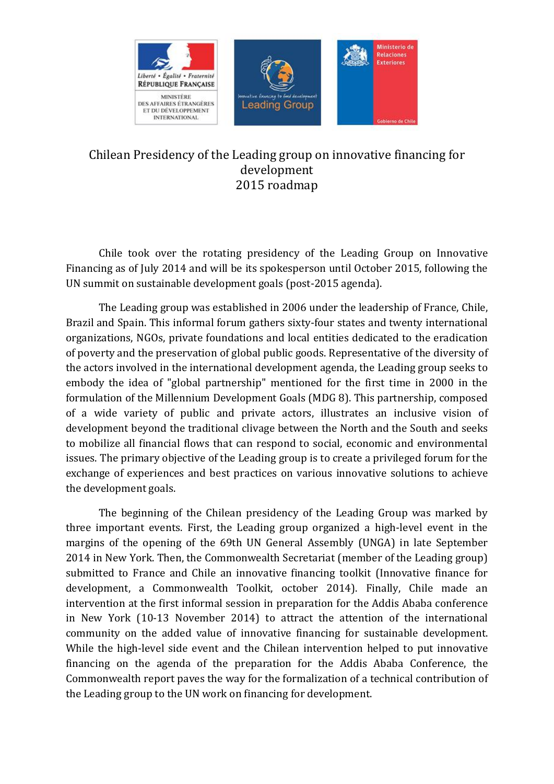

# Chilean Presidency of the Leading group on innovative financing for development 2015 roadmap

Chile took over the rotating presidency of the Leading Group on Innovative Financing as of July 2014 and will be its spokesperson until October 2015, following the UN summit on sustainable development goals (post-2015 agenda).

The Leading group was established in 2006 under the leadership of France, Chile, Brazil and Spain. This informal forum gathers sixty-four states and twenty international organizations, NGOs, private foundations and local entities dedicated to the eradication of poverty and the preservation of global public goods. Representative of the diversity of the actors involved in the international development agenda, the Leading group seeks to embody the idea of "global partnership" mentioned for the first time in 2000 in the formulation of the Millennium Development Goals (MDG 8). This partnership, composed of a wide variety of public and private actors, illustrates an inclusive vision of development beyond the traditional clivage between the North and the South and seeks to mobilize all financial flows that can respond to social, economic and environmental issues. The primary objective of the Leading group is to create a privileged forum for the exchange of experiences and best practices on various innovative solutions to achieve the development goals.

The beginning of the Chilean presidency of the Leading Group was marked by three important events. First, the Leading group organized a high-level event in the margins of the opening of the 69th UN General Assembly (UNGA) in late September 2014 in New York. Then, the Commonwealth Secretariat (member of the Leading group) submitted to France and Chile an innovative financing toolkit (Innovative finance for development, a Commonwealth Toolkit, october 2014). Finally, Chile made an intervention at the first informal session in preparation for the Addis Ababa conference in New York (10-13 November 2014) to attract the attention of the international community on the added value of innovative financing for sustainable development. While the high-level side event and the Chilean intervention helped to put innovative financing on the agenda of the preparation for the Addis Ababa Conference, the Commonwealth report paves the way for the formalization of a technical contribution of the Leading group to the UN work on financing for development.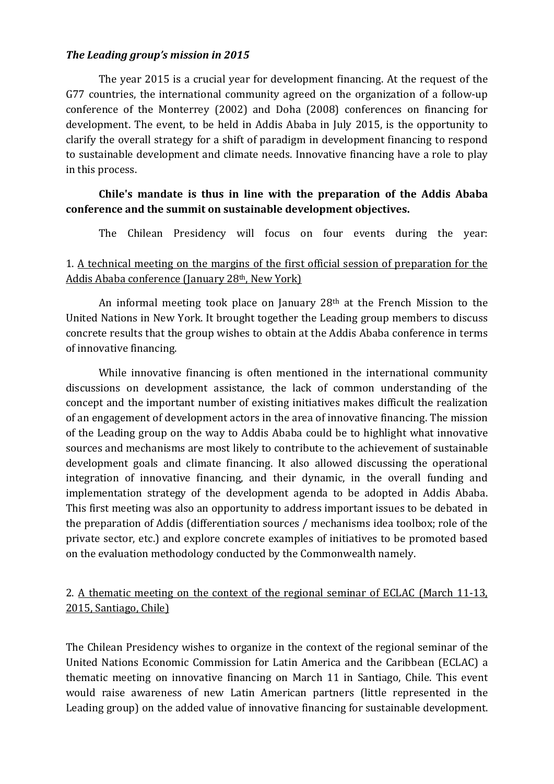#### *The Leading group's mission in 2015*

The year 2015 is a crucial year for development financing. At the request of the G77 countries, the international community agreed on the organization of a follow-up conference of the Monterrey (2002) and Doha (2008) conferences on financing for development. The event, to be held in Addis Ababa in July 2015, is the opportunity to clarify the overall strategy for a shift of paradigm in development financing to respond to sustainable development and climate needs. Innovative financing have a role to play in this process.

### **Chile's mandate is thus in line with the preparation of the Addis Ababa conference and the summit on sustainable development objectives.**

The Chilean Presidency will focus on four events during the year:

### 1. A technical meeting on the margins of the first official session of preparation for the Addis Ababa conference (January 28th, New York)

An informal meeting took place on January 28th at the French Mission to the United Nations in New York. It brought together the Leading group members to discuss concrete results that the group wishes to obtain at the Addis Ababa conference in terms of innovative financing.

While innovative financing is often mentioned in the international community discussions on development assistance, the lack of common understanding of the concept and the important number of existing initiatives makes difficult the realization of an engagement of development actors in the area of innovative financing. The mission of the Leading group on the way to Addis Ababa could be to highlight what innovative sources and mechanisms are most likely to contribute to the achievement of sustainable development goals and climate financing. It also allowed discussing the operational integration of innovative financing, and their dynamic, in the overall funding and implementation strategy of the development agenda to be adopted in Addis Ababa. This first meeting was also an opportunity to address important issues to be debated in the preparation of Addis (differentiation sources / mechanisms idea toolbox; role of the private sector, etc.) and explore concrete examples of initiatives to be promoted based on the evaluation methodology conducted by the Commonwealth namely.

#### 2. A thematic meeting on the context of the regional seminar of ECLAC (March 11-13, 2015, Santiago, Chile)

The Chilean Presidency wishes to organize in the context of the regional seminar of the United Nations Economic Commission for Latin America and the Caribbean (ECLAC) a thematic meeting on innovative financing on March 11 in Santiago, Chile. This event would raise awareness of new Latin American partners (little represented in the Leading group) on the added value of innovative financing for sustainable development.